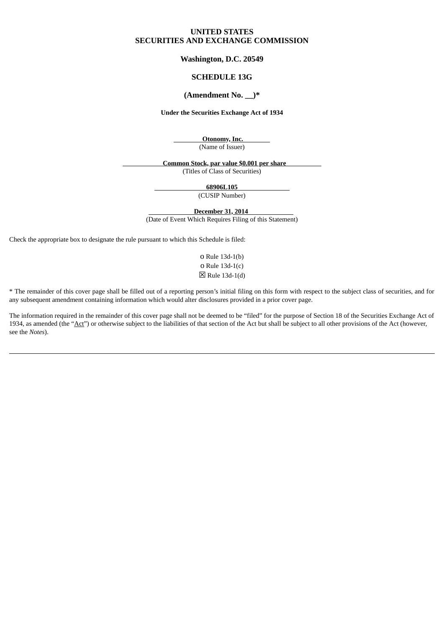# **UNITED STATES SECURITIES AND EXCHANGE COMMISSION**

## **Washington, D.C. 20549**

# **SCHEDULE 13G**

# **(Amendment No. \_\_)\***

### **Under the Securities Exchange Act of 1934**

**Otonomy, Inc.**

(Name of Issuer)

**Common Stock, par value \$0.001 per share** (Titles of Class of Securities)

**68906L105**

(CUSIP Number)

**December 31, 2014**

(Date of Event Which Requires Filing of this Statement)

Check the appropriate box to designate the rule pursuant to which this Schedule is filed:

o Rule 13d-1(b) o Rule 13d-1(c)  $\boxtimes$  Rule 13d-1(d)

\* The remainder of this cover page shall be filled out of a reporting person's initial filing on this form with respect to the subject class of securities, and for any subsequent amendment containing information which would alter disclosures provided in a prior cover page.

The information required in the remainder of this cover page shall not be deemed to be "filed" for the purpose of Section 18 of the Securities Exchange Act of 1934, as amended (the "Act") or otherwise subject to the liabilities of that section of the Act but shall be subject to all other provisions of the Act (however, see the *Notes*).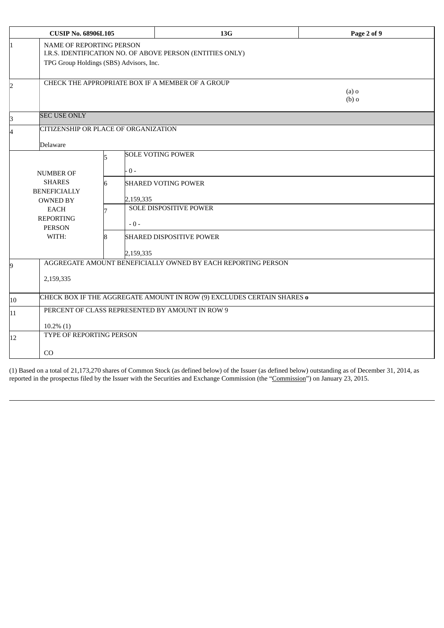| <b>CUSIP No. 68906L105</b> |                                                                                                                                         |  |           | 13G                                              | Page 2 of 9        |  |
|----------------------------|-----------------------------------------------------------------------------------------------------------------------------------------|--|-----------|--------------------------------------------------|--------------------|--|
|                            | <b>NAME OF REPORTING PERSON</b><br>I.R.S. IDENTIFICATION NO. OF ABOVE PERSON (ENTITIES ONLY)<br>TPG Group Holdings (SBS) Advisors, Inc. |  |           |                                                  |                    |  |
| 2                          |                                                                                                                                         |  |           | CHECK THE APPROPRIATE BOX IF A MEMBER OF A GROUP | $(a)$ o<br>$(b)$ o |  |
| 3                          | <b>SEC USE ONLY</b>                                                                                                                     |  |           |                                                  |                    |  |
| $\overline{4}$             | <b>CITIZENSHIP OR PLACE OF ORGANIZATION</b><br><b>Delaware</b>                                                                          |  |           |                                                  |                    |  |
|                            | <b>NUMBER OF</b>                                                                                                                        |  | $0 -$     | <b>SOLE VOTING POWER</b>                         |                    |  |
|                            | <b>SHARES</b><br><b>BENEFICIALLY</b><br><b>OWNED BY</b>                                                                                 |  | 2,159,335 | <b>SHARED VOTING POWER</b>                       |                    |  |
|                            | <b>EACH</b><br><b>REPORTING</b><br><b>PERSON</b>                                                                                        |  | $-0-$     | <b>SOLE DISPOSITIVE POWER</b>                    |                    |  |
|                            | WITH:                                                                                                                                   |  | 2,159,335 | <b>SHARED DISPOSITIVE POWER</b>                  |                    |  |
| 9                          | AGGREGATE AMOUNT BENEFICIALLY OWNED BY EACH REPORTING PERSON<br>2,159,335                                                               |  |           |                                                  |                    |  |
| 10                         | CHECK BOX IF THE AGGREGATE AMOUNT IN ROW (9) EXCLUDES CERTAIN SHARES o                                                                  |  |           |                                                  |                    |  |
| 11                         | PERCENT OF CLASS REPRESENTED BY AMOUNT IN ROW 9<br>$10.2\%$ (1)                                                                         |  |           |                                                  |                    |  |
| 12                         | TYPE OF REPORTING PERSON                                                                                                                |  |           |                                                  |                    |  |
|                            | CO                                                                                                                                      |  |           |                                                  |                    |  |

(1) Based on a total of 21,173,270 shares of Common Stock (as defined below) of the Issuer (as defined below) outstanding as of December 31, 2014, as reported in the prospectus filed by the Issuer with the Securities and Exchange Commission (the "Commission") on January 23, 2015.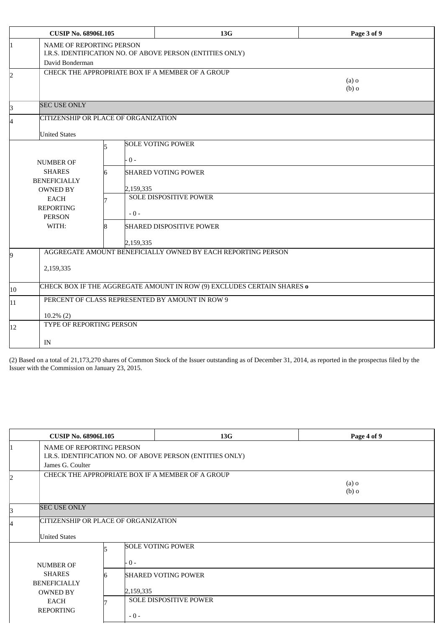| <b>CUSIP No. 68906L105</b> |                                                                                                             |  |           | <b>13G</b>                                       | Page 3 of 9        |  |
|----------------------------|-------------------------------------------------------------------------------------------------------------|--|-----------|--------------------------------------------------|--------------------|--|
| 1                          | NAME OF REPORTING PERSON<br>I.R.S. IDENTIFICATION NO. OF ABOVE PERSON (ENTITIES ONLY)<br>David Bonderman    |  |           |                                                  |                    |  |
| 2                          |                                                                                                             |  |           | CHECK THE APPROPRIATE BOX IF A MEMBER OF A GROUP | $(a)$ o<br>$(b)$ o |  |
| З                          | <b>SEC USE ONLY</b>                                                                                         |  |           |                                                  |                    |  |
| 4                          | CITIZENSHIP OR PLACE OF ORGANIZATION                                                                        |  |           |                                                  |                    |  |
|                            | <b>United States</b>                                                                                        |  |           |                                                  |                    |  |
|                            | <b>NUMBER OF</b>                                                                                            |  | - 0 -     | <b>SOLE VOTING POWER</b>                         |                    |  |
|                            | <b>SHARES</b><br><b>BENEFICIALLY</b><br><b>OWNED BY</b><br><b>EACH</b><br><b>REPORTING</b><br><b>PERSON</b> |  | 2,159,335 | <b>SHARED VOTING POWER</b>                       |                    |  |
|                            |                                                                                                             |  | $-0-$     | SOLE DISPOSITIVE POWER                           |                    |  |
|                            | WITH:                                                                                                       |  | 2,159,335 | <b>SHARED DISPOSITIVE POWER</b>                  |                    |  |
| 9                          | AGGREGATE AMOUNT BENEFICIALLY OWNED BY EACH REPORTING PERSON<br>2,159,335                                   |  |           |                                                  |                    |  |
| 10                         | CHECK BOX IF THE AGGREGATE AMOUNT IN ROW (9) EXCLUDES CERTAIN SHARES o                                      |  |           |                                                  |                    |  |
| 11                         | PERCENT OF CLASS REPRESENTED BY AMOUNT IN ROW 9                                                             |  |           |                                                  |                    |  |
|                            | $10.2\%$ (2)<br>TYPE OF REPORTING PERSON                                                                    |  |           |                                                  |                    |  |
| 12                         | IN                                                                                                          |  |           |                                                  |                    |  |

(2) Based on a total of 21,173,270 shares of Common Stock of the Issuer outstanding as of December 31, 2014, as reported in the prospectus filed by the Issuer with the Commission on January 23, 2015.

| <b>CUSIP No. 68906L105</b>                                      |                                                                                       | 13G                                                         | Page 4 of 9 |  |  |  |
|-----------------------------------------------------------------|---------------------------------------------------------------------------------------|-------------------------------------------------------------|-------------|--|--|--|
| James G. Coulter                                                | NAME OF REPORTING PERSON<br>I.R.S. IDENTIFICATION NO. OF ABOVE PERSON (ENTITIES ONLY) |                                                             |             |  |  |  |
|                                                                 | CHECK THE APPROPRIATE BOX IF A MEMBER OF A GROUP<br>$(a)$ o<br>$(b)$ o                |                                                             |             |  |  |  |
| <b>SEC USE ONLY</b>                                             |                                                                                       |                                                             |             |  |  |  |
| <b>United States</b>                                            | CITIZENSHIP OR PLACE OF ORGANIZATION                                                  |                                                             |             |  |  |  |
| <b>NUMBER OF</b>                                                | . 0 -                                                                                 | <b>SOLE VOTING POWER</b>                                    |             |  |  |  |
| <b>SHARES</b><br><b>BENEFICIALLY</b><br><b>OWNED BY</b><br>EACH | 2,159,335                                                                             | <b>SHARED VOTING POWER</b><br><b>SOLE DISPOSITIVE POWER</b> |             |  |  |  |
| <b>REPORTING</b>                                                | $-0-$                                                                                 |                                                             |             |  |  |  |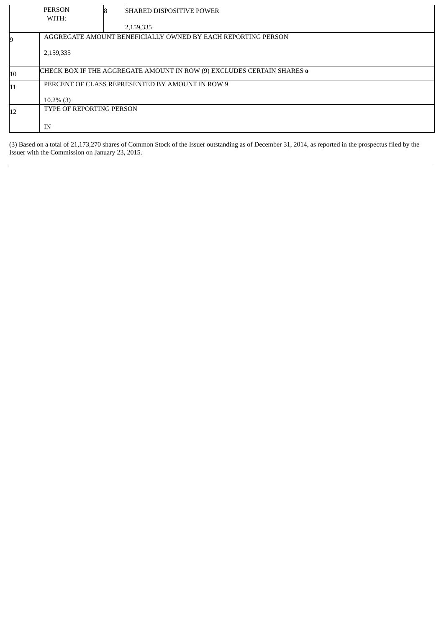|    | <b>PERSON</b><br>WITH:                                                        |  | <b>SHARED DISPOSITIVE POWER</b>                 |  |  |
|----|-------------------------------------------------------------------------------|--|-------------------------------------------------|--|--|
|    |                                                                               |  | 2,159,335                                       |  |  |
|    | AGGREGATE AMOUNT BENEFICIALLY OWNED BY EACH REPORTING PERSON                  |  |                                                 |  |  |
|    | 2,159,335                                                                     |  |                                                 |  |  |
| 10 | CHECK BOX IF THE AGGREGATE AMOUNT IN ROW (9) EXCLUDES CERTAIN SHARES <b>o</b> |  |                                                 |  |  |
| 11 |                                                                               |  | PERCENT OF CLASS REPRESENTED BY AMOUNT IN ROW 9 |  |  |
|    | $10.2\%$ (3)                                                                  |  |                                                 |  |  |
| 12 | TYPE OF REPORTING PERSON                                                      |  |                                                 |  |  |
|    | IN                                                                            |  |                                                 |  |  |

(3) Based on a total of 21,173,270 shares of Common Stock of the Issuer outstanding as of December 31, 2014, as reported in the prospectus filed by the Issuer with the Commission on January 23, 2015.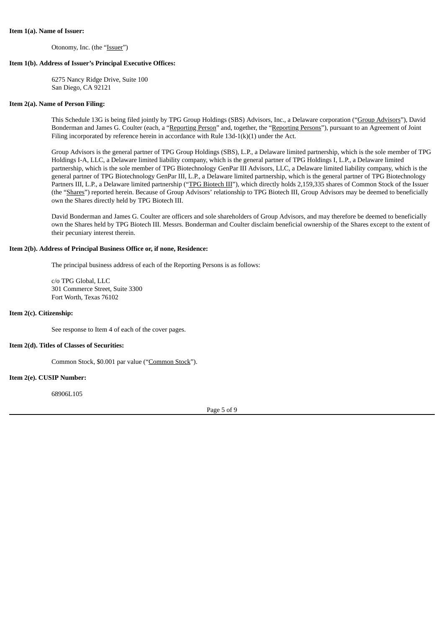#### **Item 1(a). Name of Issuer:**

Otonomy, Inc. (the "Issuer")

### **Item 1(b). Address of Issuer's Principal Executive Offices:**

6275 Nancy Ridge Drive, Suite 100 San Diego, CA 92121

### **Item 2(a). Name of Person Filing:**

This Schedule 13G is being filed jointly by TPG Group Holdings (SBS) Advisors, Inc., a Delaware corporation ("Group Advisors"), David Bonderman and James G. Coulter (each, a "Reporting Person" and, together, the "Reporting Persons"), pursuant to an Agreement of Joint Filing incorporated by reference herein in accordance with Rule 13d-1(k)(1) under the Act.

Group Advisors is the general partner of TPG Group Holdings (SBS), L.P., a Delaware limited partnership, which is the sole member of TPG Holdings I-A, LLC, a Delaware limited liability company, which is the general partner of TPG Holdings I, L.P., a Delaware limited partnership, which is the sole member of TPG Biotechnology GenPar III Advisors, LLC, a Delaware limited liability company, which is the general partner of TPG Biotechnology GenPar III, L.P., a Delaware limited partnership, which is the general partner of TPG Biotechnology Partners III, L.P., a Delaware limited partnership ("TPG Biotech III"), which directly holds 2,159,335 shares of Common Stock of the Issuer (the "Shares") reported herein. Because of Group Advisors' relationship to TPG Biotech III, Group Advisors may be deemed to beneficially own the Shares directly held by TPG Biotech III.

David Bonderman and James G. Coulter are officers and sole shareholders of Group Advisors, and may therefore be deemed to beneficially own the Shares held by TPG Biotech III. Messrs. Bonderman and Coulter disclaim beneficial ownership of the Shares except to the extent of their pecuniary interest therein.

### **Item 2(b). Address of Principal Business Office or, if none, Residence:**

The principal business address of each of the Reporting Persons is as follows:

c/o TPG Global, LLC 301 Commerce Street, Suite 3300 Fort Worth, Texas 76102

## **Item 2(c). Citizenship:**

See response to Item 4 of each of the cover pages.

### **Item 2(d). Titles of Classes of Securities:**

Common Stock, \$0.001 par value ("Common Stock").

## **Item 2(e). CUSIP Number:**

68906L105

Page 5 of 9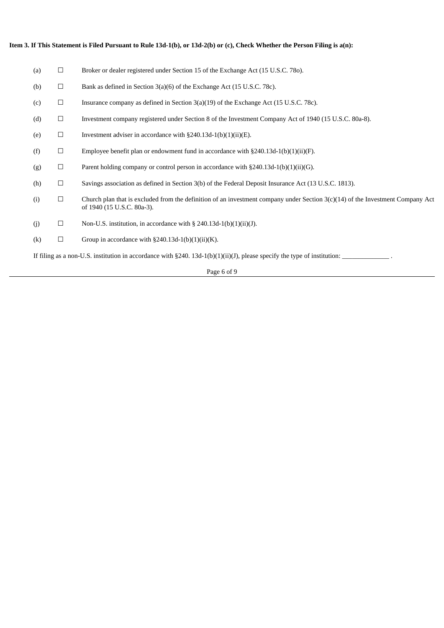| (a)                                                                                                                          | $\Box$ | Broker or dealer registered under Section 15 of the Exchange Act (15 U.S.C. 780).                                                                              |  |  |
|------------------------------------------------------------------------------------------------------------------------------|--------|----------------------------------------------------------------------------------------------------------------------------------------------------------------|--|--|
| (b)                                                                                                                          | $\Box$ | Bank as defined in Section 3(a)(6) of the Exchange Act (15 U.S.C. 78c).                                                                                        |  |  |
| (c)                                                                                                                          | $\Box$ | Insurance company as defined in Section $3(a)(19)$ of the Exchange Act (15 U.S.C. 78c).                                                                        |  |  |
| (d)                                                                                                                          | $\Box$ | Investment company registered under Section 8 of the Investment Company Act of 1940 (15 U.S.C. 80a-8).                                                         |  |  |
| (e)                                                                                                                          | $\Box$ | Investment adviser in accordance with $\S240.13d-1(b)(1)(ii)(E)$ .                                                                                             |  |  |
| (f)                                                                                                                          | $\Box$ | Employee benefit plan or endowment fund in accordance with $\S 240.13d-1(b)(1)(ii)(F)$ .                                                                       |  |  |
| (g)                                                                                                                          | $\Box$ | Parent holding company or control person in accordance with $\S 240.13d-1(b)(1)(ii)(G)$ .                                                                      |  |  |
| (h)                                                                                                                          | $\Box$ | Savings association as defined in Section 3(b) of the Federal Deposit Insurance Act (13 U.S.C. 1813).                                                          |  |  |
| (i)                                                                                                                          | $\Box$ | Church plan that is excluded from the definition of an investment company under Section $3(c)(14)$ of the Investment Company Act<br>of 1940 (15 U.S.C. 80a-3). |  |  |
| (j)                                                                                                                          | $\Box$ | Non-U.S. institution, in accordance with $\S$ 240.13d-1(b)(1)(ii)(J).                                                                                          |  |  |
| (k)                                                                                                                          | $\Box$ | Group in accordance with $\S240.13d-1(b)(1)(ii)(K)$ .                                                                                                          |  |  |
| If filing as a non-U.S. institution in accordance with $\S 240.13d-1(b)(1)(ii)(J)$ , please specify the type of institution: |        |                                                                                                                                                                |  |  |

# Item 3. If This Statement is Filed Pursuant to Rule 13d-1(b), or 13d-2(b) or (c), Check Whether the Person Filing is a(n):

Page 6 of 9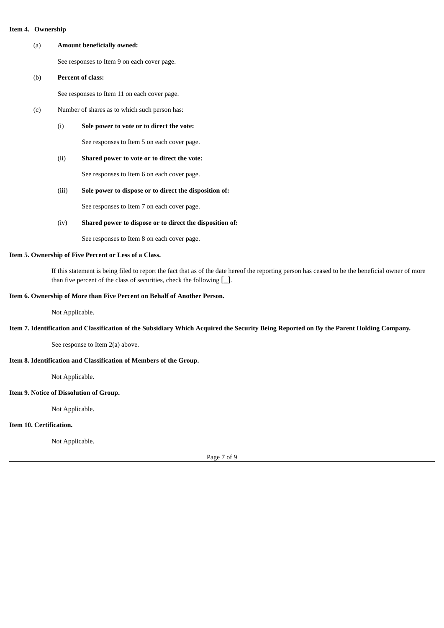### (a) **Amount beneficially owned:**

See responses to Item 9 on each cover page.

(b) **Percent of class:**

See responses to Item 11 on each cover page.

- (c) Number of shares as to which such person has:
	- (i) **Sole power to vote or to direct the vote:**

See responses to Item 5 on each cover page.

(ii) **Shared power to vote or to direct the vote:**

See responses to Item 6 on each cover page.

## (iii) **Sole power to dispose or to direct the disposition of:**

See responses to Item 7 on each cover page.

(iv) **Shared power to dispose or to direct the disposition of:**

See responses to Item 8 on each cover page.

### **Item 5. Ownership of Five Percent or Less of a Class.**

If this statement is being filed to report the fact that as of the date hereof the reporting person has ceased to be the beneficial owner of more than five percent of the class of securities, check the following  $[\_$ .

## **Item 6. Ownership of More than Five Percent on Behalf of Another Person.**

Not Applicable.

## Item 7. Identification and Classification of the Subsidiary Which Acquired the Security Being Reported on By the Parent Holding Company.

See response to Item 2(a) above.

## **Item 8. Identification and Classification of Members of the Group.**

Not Applicable.

# **Item 9. Notice of Dissolution of Group.**

Not Applicable.

## **Item 10. Certification.**

Not Applicable.

Page 7 of 9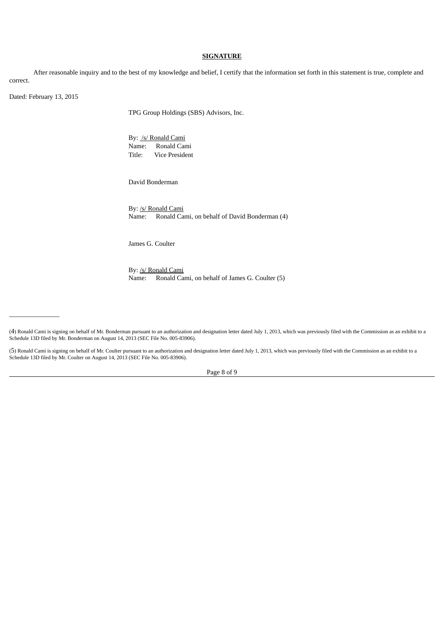### **SIGNATURE**

After reasonable inquiry and to the best of my knowledge and belief, I certify that the information set forth in this statement is true, complete and correct.

Dated: February 13, 2015

 $\overline{\phantom{a}}$  , where  $\overline{\phantom{a}}$ 

TPG Group Holdings (SBS) Advisors, Inc.

By: /s/ Ronald Cami Name: Ronald Cami Title: Vice President

David Bonderman

By: /s/ Ronald Cami Name: Ronald Cami, on behalf of David Bonderman (4)

James G. Coulter

By: /s/ Ronald Cami Name: Ronald Cami, on behalf of James G. Coulter (5)

(4) Ronald Cami is signing on behalf of Mr. Bonderman pursuant to an authorization and designation letter dated July 1, 2013, which was previously filed with the Commission as an exhibit to a Schedule 13D filed by Mr. Bonderman on August 14, 2013 (SEC File No. 005-83906).

(5) Ronald Cami is signing on behalf of Mr. Coulter pursuant to an authorization and designation letter dated July 1, 2013, which was previously filed with the Commission as an exhibit to a Schedule 13D filed by Mr. Coulter on August 14, 2013 (SEC File No. 005-83906).

Page 8 of 9